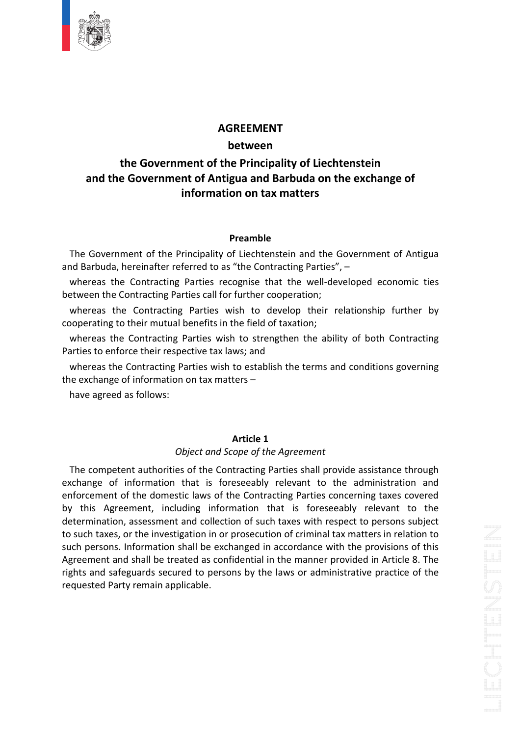

### **COVERTENT**<br> **Government of the Principality of Liechtenstein the Government of the Principality of Liechtenstein<br>
<b>the Government of the Principality of Liechtenstein**<br> **the Government of Antigua and Barbuda on the exchange of EMENT**<br>ween<br>Tincipality of Liechten<br>Tand Barbuda on the<br>on tax matters **Preamble**and the Government of Antigua and Barbuda on the exchange of<br>
information on tax matters<br>
Preamble<br>
Government of the Principality of Liechtenstein and the Government of Antigua

and the Covernment of Antigad and Barbuda on the Exenantion<br>information on tax matters<br>The Government of the Principality of Liechtenstein and the Government<br>nd Barbuda, hereinafter referred to as "the Contracting Parties" the Contraction Contraction<br> **Starting Parties recognise is and the Government of Antigua**<br>
The Contracting Parties recognise that the well-developed economic ties **Preamble**<br>
Vernment of the Principality of Liechtenstein and the G<br>
uda, hereinafter referred to as "the Contracting Parties",<br>
s the Contracting Parties recognise that the well-dev<br>
the Contracting Parties call for furth **Preamble**<br>
Frament of the Principality of Liechtenstein and the Government of Antigua<br>
a, hereinafter referred to as "the Contracting Parties", –<br>
the Contracting Parties recognise that the well-developed economic ties<br>
t **Preamble**<br>
Internation of the Principality of Liechtenstein and the<br>
Internation of the Contracting Parties<br>
the Contracting Parties recognise that the well-de<br>
Internation;<br>
to their mutual benefits in the field of taxat The Gov and Barbuda, hereinafter referred to as "the Contracting Parties", -

buda, hereinatter reterred to as "the Contracting<br>eas the Contracting Parties recognise that the<br>n the Contracting Parties call for further cooperat<br>eas the Contracting Parties wish to develop<br>ating to their mutual benefit whereas the Contracting Parties recognise that the well-developed economic ties between the Contracting Parties call for further cooperation;

Frimment of the Principality of Liechtenstein and the Government of Antigua<br>
la, hereinafter referred to as "the Contracting Parties", –<br>
the Contracting Parties recognise that the well-developed economic ties<br>
ie Contract the Contracting Parties recognise that the well-developed economic ties<br>he Contracting Parties call for further cooperation;<br>the Contracting Parties wish to develop their relationship further by<br>g to their mutual benefits etween the Contracting Parties call for further cooper<br>whereas the Contracting Parties wish to develo<br>poperating to their mutual benefits in the field of taxa<br>whereas the Contracting Parties wish to strengthe<br>arties to enf

Parties to enforce their respective tax laws; and

eas the Contracting<br>ating to their mutual be<br>eas the Contracting Pa<br>to enforce their respec<br>eas the Contracting Pai<br>hange of information c<br>agreed as follows: .<br>blish the te<br>1 *Partie ax* matters –<br>**ax** matters –<br>**Article 1**<br>and Scope of the Agreement

 $\overline{\mathbf{r}}$ riave a<sub>b</sub>

competed as follows:<br> **Article 1**<br> *Competent authorities of the Contracting Parties shall provide assistance through* **Article 1**<br> **Article 1**<br> *Object and Scope of the Agreement*<br>
betent authorities of the Contracting Parties shall provide assistance through<br>
of information that is foreseeably relevant to the administration and **Article 1**<br> **Contract Accept of the Agreement**<br> **Contracting Parties shall provide assistance through information that is foreseeably relevant to the administration and<br>
of the domestic laws of the Contracting Parties con** Article 1<br>
Object and Scope of the Agreement<br>
e competent authorities of the Contracting Parties shall provide assistance through<br>
ange of information that is foreseeably relevant to the administration and<br>
this Agreement, **Article 1**<br>
Object and Scope of the Agreement<br>
and the contracting Parties shall provide assistance through<br>
and ithe domestic laws of the Contracting Parties concerning taxes covered<br>
ment, including information that is Object and Scope of the Agreement<br>
The competent authorities of the Contracting Parties shall provide assistance through<br>
change of information that is foreseeably relevant to the administration and<br>
forcement of the domes The competent authorities of the Contracting Parties shall provide assistance through competent authorities of the Contracting Parties shall provide assistance through<br>nnge of information that is foreseeably relevant to the administration and<br>cement of the domestic laws of the Contracting Parties concerning exchange of information that is foreseeably relevant to the administration and and shall be treated as confidential in the manner provided in Article 8. The manner of the domestic laws of the Contracting Parties concerning taxes covered greement, including information that is foreseeably relevant to enforcement of the domestic laws of the Contracting Parties concerning taxes covered and safeguards secured to persons by the laws or administrative practice of the aniation, assessment and collection of such taxes with respect to persons subject in taxes, or the investigation in or prosecution of criminal by this Agreement, including information that is foreseeably relevant to the remaint, including if<br>ion, assessment and colves, or the investigation ins.<br>Information shall be<br>t and shall be treated as<br>safeguards secured to p<br>Party remain applicable.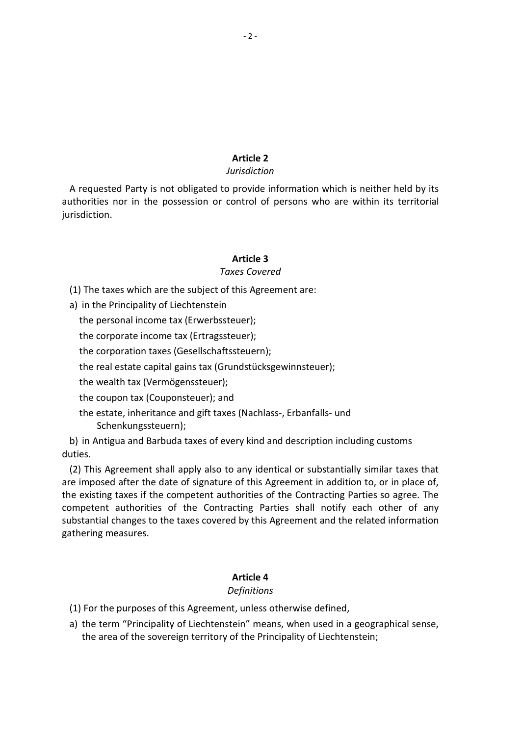# **2**

### **Jurisdiction**

Article 2<br> *Surisdiction*<br> *Surisdiction*<br> *Surisdiction*<br> *Surisdiction*<br> *Mich is neither held by its* Article 2<br>
Jurisdiction<br>
Durisdiction<br>
Acticle 2<br>
Durisdiction<br>
Acticle of persons who are within its territorial<br>
Action of persons who are within its territorial e*n*<br>9. informati<br>9. jersons<br>3. A requested Party is not obligated to provide information which is neither held by its *vide information<br>rol of persons wl<br>icle 3<br>Covered* jurisdiction. The taxes which are the subject of this Agreement are:<br>The taxes which are the subject of this Agreement are:

**Article 3**<br>Taxes Cove<br>The taxes which are the subject of this Agre<br>in the Principality of Liechtenstein **Article 3**<br> *Taxes Covere*<br>
Personal income tax (Erwerbssteuer);<br>
Taxes Coverence tax (Erwerbssteuer); **Article 3**<br>Taxes Covered<br>Article 3<br>Taxes Covered<br>The Principality of Liechtenstein<br>personal income tax (Ertragssteuer);<br>corporate income tax (Ertragssteuer); Taxes Covered<br>
e taxes which are the subject of this Agreemer<br>
he Principality of Liechtenstein<br>
personal income tax (Erwerbssteuer);<br>
corporate income tax (Ertragssteuer);<br>
corporation taxes (Gesellschaftssteuern); ا<br>Th real taxes which are the subject of this Agreement are:<br>
he Principality of Liechtenstein<br>
personal income tax (Erwerbssteuer);<br>
corporation taxes (Gesellschaftssteuern);<br>
real estate capital gains tax (Grundstücksgewinnst

a) in the Principality of Liechtenstein

he Principality of Liechtenstein<br>personal income tax (Erwerbssteuer<br>corporate income tax (Ertragssteuer<br>corporation taxes (Gesellschaftsster<br>real estate capital gains tax (Grunds<br>wealth tax (Vermögenssteuer): the personal income tax (Erwerbssteuer);

the corporate income tax (Ertragssteuer);

the corporation taxes (Gesellschaftssteuern);

personal income tax (Erwerbssteuer);<br>corporate income tax (Ertragssteuer);<br>corporation taxes (Gesellschaftssteuern);<br>real estate capital gains tax (Grundstücksg<br>wealth tax (Vermögenssteuer);<br>coupon tax (Couponsteuer); and corporate income tax (Ertragssteuer);<br>corporation taxes (Gesellschaftssteuern);<br>real estate capital gains tax (Grundstücksgewinnsteuer);<br>wealth tax (Vermögenssteuer);<br>coupon tax (Couponsteuer); and<br>estate. inheritance and duties.

in Antigua and Barbuda taxes of every kind and description including customs<br>
in Antigua and Barbuda taxes of every kind and description including customs<br>
in Antigua and Barbuda taxes of every kind and description includi Schenkungssteuern);

the cou<br>the est<br>Sch<br>b) in Anti<br>ties. The coupon tax (vermogenssteuer);<br>
the coupon tax (Couponsteuer); and<br>
the estate, inheritance and gift taxes (Nachlass-, Erbanfalls- und<br>
Schenkungssteuern);<br>
n Antigua and Barbuda taxes of every kind and description incl imposed after the date of signature of this Agreement in addition to, or in place of,<br>are imposed after the date of signature of this Agreement in addition to, or in place of,<br>are imposed after the date of signature of thi b) in Anti duties.

the estate, inheritance and gift taxes (Nachlass-, Erbanfalls- und<br>
Schenkungssteuern);<br>
in Antigua and Barbuda taxes of every kind and description including customs<br>
es.<br>
) This Agreement shall apply also to any identical enkungssteuern);<br>ua and Barbuda taxes of every kind and description including customs<br>reement shall apply also to any identical or substantially similar taxes that<br>after the date of signature of this Agreement in addition gua and Barbuda taxes of every kind and description including customs<br>greement shall apply also to any identical or substantially similar taxes that<br>d after the date of signature of this Agreement in addition to, or in pla Agreement sha<br>ed after the da<br>ig taxes if the or<br>t authorities<br>il changes to th<br>measures. the existing taxes if the competent authorities of the Contracting Parties so agree. The of the Co<br>Parties sha<br>s Agreeme<br>**4** *Definitions*substantial changes to the taxes covered by this Agreement and the related information gathering measures. For the purposes of this Agreement and the relations<br>
thering measures.<br>
The purposes of this Agreement, unless otherwise defined,<br>
Article 4<br>
Definitions

- 
- Article 4<br>
Definitions<br>
For the purposes of this Agreement, unless otherwise defined,<br>
the term "Principality of Liechtenstein" means, when used in a geographical sense. **Article 4**<br>
Definitions<br>
(1) For the purposes of this Agreement, unless otherwise defined,<br>
a) the term "Principality of Liechtenstein" means, when used in a geographical sense,<br>
the area of the sovereign territory of the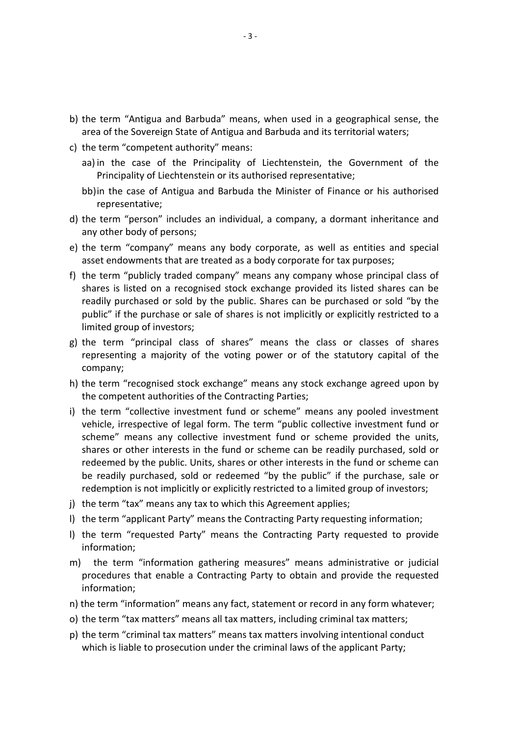- the term "Antigua and Barbuda" means, when used in a geographical sense, the erm "Antigua and Barbuda" means, when used in a geographical sense, the<br>of the Sovereign State of Antigua and Barbuda and its territorial waters; the term "Antigua and Barbuda" means, where term and the Sovereign State of Antigua and Bard<br>the term "competent authority" means: term "Antigua and Barbuda" means, when used in a geographical sense, the<br>a of the Sovereign State of Antigua and Barbuda and its territorial waters;<br>term "competent authority" means:<br>in the case of the Principality of Liec gua and Barbuda" means, when used in a geograph<br>ereign State of Antigua and Barbuda and its territorial<br>betent authority" means:<br>e of the Principality of Liechtenstein, the Gover<br>of Liechtenstein or its authorised represen term "Antigua
- the
- rm "Antigua and Barbuda" means, when used in a geographical sense, the<br>f the Sovereign State of Antigua and Barbuda and its territorial waters;<br>rm "competent authority" means:<br>the case of the Principality of Liechtenstein, aa) in the case of the Principality of Liechtenstein, the Government of the Principality of Liechtenstein or its authorised representative;<br>bb) in the case of Antigua and Barbuda the Minister of Finance or his authorised Principality of Liechtenstein or its authorised representative;
- the term "competent authority" means:<br>aa) in the case of the Principality of Liechtenstein, the Government of the<br>Principality of Liechtenstein or its authorised representative;<br>bb)in the case of Antigua and Barbuda the Mi Incipality of Liechtenstein or its authorised representative;<br>the case of Antigua and Barbuda the Minister of Finance or his author<br>presentative;<br>erm "person" includes an individual, a company, a dormant inheritance<br>ther b representative;
- aa) in the case of the Principality of Liechtenstein, the Government of the<br>
Principality of Liechtenstein or its authorised representative;<br>
bb) in the case of Antigua and Barbuda the Minister of Finance or his authorised bojin the case or Antigua and Barbuda the Minister or Finance or his authorised<br>representative;<br>the term "person" includes an individual, a company, a dormant inheritance and<br>any other body of persons;<br>the term "company" m resentative;<br>m "person" includes an individual, a company, a dormant inheritance and<br>er body of persons;<br>m "company" means any body corporate, as well as entities and special<br>ndowments that are treated as a body corporate the ter any other body of persons;
- 
- m "person" includes an individual, a company, a dormant inheritance and<br>er body of persons;<br>m "company" means any body corporate, as well as entities and special<br>ndowments that are treated as a body corporate for tax purpo er body of persons;<br>m "company" means any body corporate, as well as entities and special<br>idowments that are treated as a body corporate for tax purposes;<br>m "publicly traded company" means any company whose principal class the term "company" means a<br>asset endowments that are treat<br>the term "publicly traded com<br>shares is listed on a recognise<br>readily purchased or sold by tl<br>public" if the purchase or sale<br>limited group of investors: asset endowments that are treated as a body corporate for tax purposes;<br>the term "publicly traded company" means any company whose principal class of<br>shares is listed on a recognised stock exchange provided its listed shar f) the term "publicly traded company" means any company whose principal class of blicly traded company" means any company whose principal class of<br>d on a recognised stock exchange provided its listed shares can be<br>ased or sold by the public. Shares can be purchased or sold "by the<br>purchase or sale of s shares is listed on a recognised stock exchange provided its listed shares can be public" if the purchase or sale of shares is not implicitly or explicitly restricted to a
- readily purchased or sold by the public. Shares can be purchased or sold "by the<br>public" if the purchase or sale of shares is not implicitly or explicitly restricted to a<br>limited group of investors;<br>the term "principal cla lic" if the purchase or sale of shares is not implicitly c<br>ted group of investors;<br>term "principal class of shares" means the cla-<br>resenting a majority of the voting power or of the<br>pany;<br>term "recognised stock exchange" m Imited group or Investors;<br>the term "principal class of shares" means the class or classes of shares<br>representing a majority of the voting power or of the statutory capital of the<br>company;<br>the term "recognised stock exchan the ter m "principal class of shares" means the class or classes of shares<br>hting a majority of the voting power or of the statutory capital of the<br>y;<br>i "recognised stock exchange" means any stock exchange agreed upon by<br>petent aut represen
- h) the term "recognised stock exchange" means any stock exchange agreed upon by the competent authorities of the Contracting Parties;
- representing a majority of the voting power or of the statutory capital of the<br>company;<br>the term "recognised stock exchange" means any stock exchange agreed upon by<br>the competent authorities of the Contracting Parties;<br>the ny;<br>m "recognised stock exchange" means any stock exchange agreed upon by<br>npetent authorities of the Contracting Parties;<br>m "collective investment fund or scheme" means any pooled investment<br>interspective of legal form. Th recognised stock exchange" means any stock exchange agreed upon by<br>tent authorities of the Contracting Parties;<br>Collective investment fund or scheme" means any pooled investment<br>espective of legal form. The term "public co competent authorities of the Contracting Parties;<br>term "collective investment fund or scheme" means any pooled investment<br>icle, irrespective of legal form. The term "public collective investment fund or<br>eme" means any coll the term "collective investment fund or scheme" means any pooled investment<br>vehicle, irrespective of legal form. The term "public collective investment fund or<br>scheme" means any collective investment fund or scheme provide vehicle, irrespective of legal form. The term "public collective inve<br>scheme" means any collective investment fund or scheme prov<br>shares or other interests in the fund or scheme can be readily pur<br>redeemed by the public. U scheme" means any collective investment fund or scheme provided the units,<br>shares or other interests in the fund or scheme can be readily purchased, sold or<br>redeemed by the public. Units, shares or other interests in the f snares or other interests in the rund or scheme can be readily purchased, sold or<br>redeemed by the public. Units, shares or other interests in the fund or scheme can<br>be readily purchased, sold or redeemed "by the public" if reaeemea <mark>p</mark> redemption is not implicitly or explicitly restricted to a limited group of investors;
- j) the term "tax" means any tax to which this Agreement applies;
- I) the term "applicant Party" means the Contracting Party requesting information;
- Teauny purchased, sold of redeemed by the public if the purchase, sale of<br>demption is not implicitly or explicitly restricted to a limited group of investors;<br>e term "applicant Party" means the Contracting Party requesting that enable a Contracting Party to obtain and provide the requested party"<br>that enable a Contracting Party requesting information;<br>equested Party" means the Contracting Party requested to provide<br>is<br>"information gathering o)
- the term "applicant Party" means the Contracting Party requesting information;<br>the term "requested Party" means the Contracting Party requested to provide<br>information;<br>the term "information gathering measures" means admini the term "requested Party" means the Contracting Party requested to provi<br>information;<br>the term "information gathering measures" means administrative or judic<br>procedures that enable a Contracting Party to obtain and provid m) the term "information gathering measures" means administrative or judicial<br>procedures that enable a Contracting Party to obtain and provide the requested<br>information;<br>n) the term "information" means any fact, statement which is the set of the set of the set of the set of the set of the set of the set of the set of th procedures that enable a Contracting Party to obtain and provide the requested<br>information;<br>n) the term "information" means any fact, statement or record in any form whatever;<br>o) the term "tax matters" means all tax matter
- 
- 
-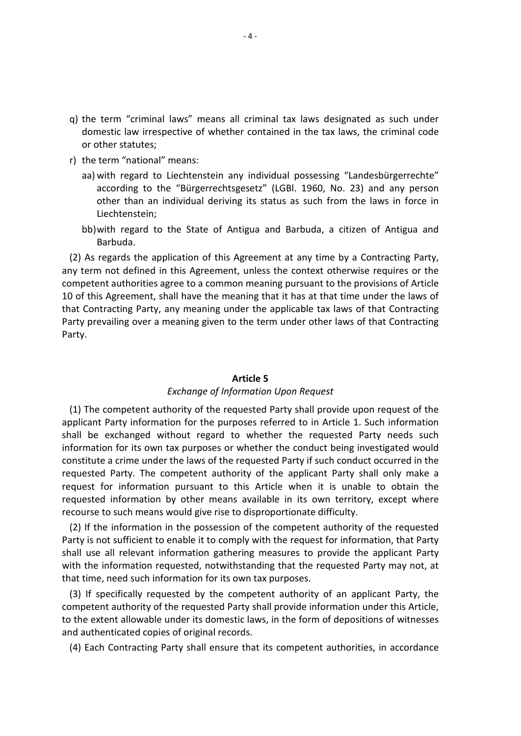- the term "criminal laws" means all criminal tax laws designated as such under "criminal laws" means all criminal tax laws designated as such under<br>law irrespective of whether contained in the tax laws, the criminal code nder term "criminal langer"<br>ther statutes;<br>ther statutes; the term "criminal laws" mear<br>domestic law irrespective of wh<br>or other statutes;<br>the term "national" means: term "criminal laws" means all criminal tax laws designated as such under<br>mestic law irrespective of whether contained in the tax laws, the criminal code<br>other statutes;<br>term "national" means:<br>with regard to Liechtenstein minal laws" means all criminal tax laws designated as such under<br>irrespective of whether contained in the tax laws, the criminal code<br>res;<br>d to Liechtenstein any individual possessing "Landesbürgerrechte"<br>to the "Bürgerrec g) the term "criminal laws" means all criminal tax laws designated as such under "criminal laws" means all criminal tax laws designated as such under<br>law irrespective of whether contained in the tax laws, the criminal code<br>tatutes;<br>"national" means:<br>egard to Liechtenstein any individual possessing "Lan nestic law irre or other statutes;
- r) the term "national" means:
- statutes;<br>"national" means:<br>regard to Liechtenstein any individual possessing "Landesbürgerrechte"<br>ding to the "Bürgerrechtsgesetz" (LGBI. 1960, No. 23) and any person<br>than an individual deriving its status as such from th aa) with regard to Liechtenstein any individual possessing "Landesbürgerrechte"<br>according to the "Bürgerrechtsgesetz" (LGBI. 1960, No. 23) and any person<br>other than an individual deriving its status as such from the laws i aa) with regard to Liechtenstein any individual possessing "Landesbürgerrechte"<br>according to the "Bürgerrechtsgesetz" (LGBI. 1960, No. 23) and any person<br>other than an individual deriving its status as such from the laws i according to the "Bürgerrechtsgesetz" (LGBI. 1960, No. 23) and any person<br>other than an individual deriving its status as such from the laws in force in<br>Liechtenstein;<br>bb)with regard to the State of Antigua and Barbuda, a other than an individual deriving its status as such from the laws in force in
	-

er than an individual deriving its status as such from the laws in force in<br>
chtenstein;<br>
h regard to the State of Antigua and Barbuda, a citizen of Antigua and<br>
buda.<br>
ards the application of this Agreement at any time by Liechtenstein;<br>bb)with regard to the State of Antigua and Barbuda, a citizen of Antigua and<br>Barbuda.<br>2) As regards the application of this Agreement at any time by a Contracting Party,<br>7 term not defined in this Agreement, bb) with regard to the State of Antigua and Barbuda, a citizen of Antigua and<br>Barbuda.<br>As regards the application of this Agreement at any time by a Contracting Party,<br>term not defined in this Agreement, unless the context Barbuda.<br>As regards the application of this Agreement at any time by a Contracting Party,<br>prm not defined in this Agreement, unless the context otherwise requires or the<br>etent authorities agree to a common meaning pursuant (2) As regards the application of this Agreement at any time by a Contracting Party, 10 of this Agreement, shall have the meaning that it has at that time under the laws of that it has<br>e applicabl<br>erm under<br>**5** that Contracting Party, any meaning under the applicable tax laws of that Contracting *of* **Information** *Information Information Detections*<br> *Article 5*<br> *Of Information Upon Request*  $(1)$ Frevaning over a meaning given to the term ander other laws or that contracting<br>
.<br>
The competent authority of the requested Party shall provide upon request of the rarcy.

Article 5<br>
Exchange of Information Upon Request<br>
Competent authority of the requested Party shall provide upon request of the<br>
Party information for the purposes referred to in Article 1. Such information Article 5<br>
Exchange of Information Upon Request<br>
The competent authority of the requested Party shall provide upon request of the<br>
ant Party information for the purposes referred to in Article 1. Such information<br>
be excha **Article 5**<br>**Exchange of Information Upon Request**<br>mpetent authority of the requested Party shall provide upon request of the<br>rty information for the purposes referred to in Article 1. Such information<br>changed without rega Article 5<br>
Exchange of Information Upon Request<br>
ompetent authority of the requested Party shall provide upon request of the<br>
Party information for the purposes referred to in Article 1. Such information<br>
such an axpurpose Exchange of Information Upon Request<br>
provide upon request of the<br>
arty information for the purposes referred to in Article 1. Such information<br>
xchanged without regard to whether the requested Party needs such<br>
1 for its (1) The competent authority of the requested Party shall provide upon request of the competent authority of the requested Party shall provide upon request of the<br>
E Party information for the purposes referred to in Article 1. Such information<br>
exchanged without regard to whether the requested Party needs s applicant Party information for the purposes referred to in Article 1. Such information arty information for the purposes referred to in Article 1. Such information<br>xchanged without regard to whether the requested Party needs such<br>i for its own tax purposes or whether the conduct being investigated would<br>a cr shall be exchanged without regard to whether the requested Party needs such information for its own tax purposes or whether the conduct being investigated would constitute a crime under the laws of the requested Party if such conduct occurred in the requested Party. The competent authority of the mation for its own tax purposes or whether the conduct being investigated would<br>itute a crime under the laws of the requested Party if such conduct occurred in the<br>ested Party. The competent authority of the applicant Part constitute a crime under the laws of the requested Party if such conduct occurred in the tute a crime under the laws of the requested Party if such conduct occurred in the<br>sted Party. The competent authority of the applicant Party shall only make a<br>st for information pursuant to this Article when it is unable requested Party. The competent authority of the applicant Party shall only make a exted Party. The competent authority of the applicant Party shall only make a<br>set for information pursuant to this Article when it is unable to obtain the<br>sted information by other means available in its own territory, exc request for information pursuant to this Article when it is unable to obtain the

est for information pursuant to this Article when it is unable to obtain the ested information by other means available in its own territory, except where urse to such means would give rise to disproportionate difficulty.<br> requested information by other means available in its own<br>recourse to such means would give rise to disproportionate dif<br>(2) If the information in the possession of the competent at<br>Party is not sufficient to enable it to If the information in the possession of the competent authority of the requested<br>If the information in the possession of the competent authority of the requested<br>is not sufficient to enable it to comply with the request fo (2) If the information in the possession of the competent authority of the requested (2) If the information in the possession of the competent authority of the requested<br>Party is not sufficient to enable it to comply with the request for information, that Party<br>shall use all relevant information gathering The extent allowable under the formulation, that Party<br>the use all relevant information gathering measures to provide the applicant Party<br>th the information requested, notwithstanding that the requested Party may not, at<br>a shall use all relevant information gathering measures to provide the applicant Party

hall use all relevant information gathering me<br>ith the information requested, notwithstanding<br>iat time, need such information for its own tax p<br>(3) If specifically requested by the competen<br>pmpetent authority of the reques the information requested, notwithstanding that the requested Party may not, at<br>ime, need such information for its own tax purposes.<br>If specifically requested by the competent authority of an applicant Party, the<br>betent au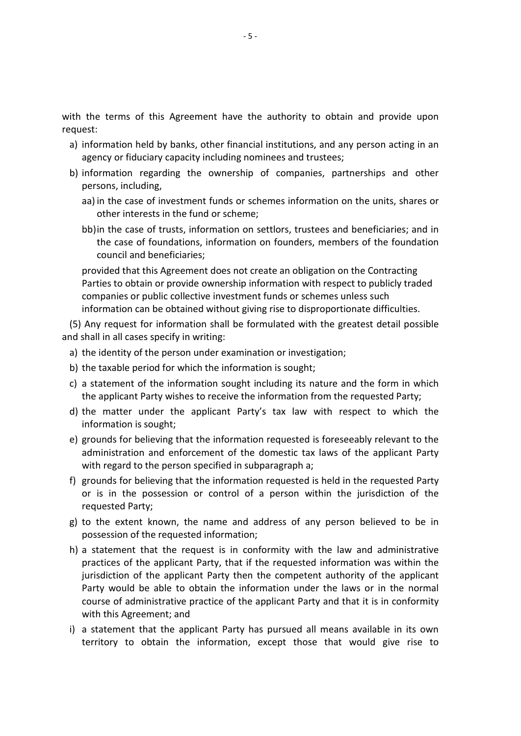the terms of this Agreement have the authority to obtain and provide upon the terms of this Agreement have the authority to obtain and provide upon<br>est:<br>information held by banks, other financial institutions, and any person acting in an rms of this Agreement have the authority to obtain antion held by banks, other financial institutions, and any performation fiduciary capacity including nominees and trustees:

- the terms of this Agreement have the authority to obtain and provide upon<br>est:<br>information held by banks, other financial institutions, and any person acting in an<br>agency or fiduciary capacity including nominees and truste the terms of this Ag<br>est:<br>information held by ba<br>agency or fiduciary cap<br>information regarding<br>persons. including. a) information held by banks, other financial institutions, and any person acting in an ncy
- is terms of this Agreement have the authority to obtain and provide upon<br>in the case of investment institutions, and any person acting in an<br>incy or fiduciary capacity including nominees and trustees;<br>in the case of invest on held by banks, other financial inst<br>
fiduciary capacity including nomines<br>
on regarding the ownership of c<br>
ncluding,<br>
case of investment funds or scheme<br>
interests in the fund or scheme: nation neid by banks, other financial institutions, and any person acting in an<br>y or fiduciary capacity including nominees and trustees;<br>nation regarding the ownership of companies, partnerships and other<br>ns, including,<br>th or riduciary capacity including nominees and trustees;<br>ition regarding the ownership of companies, partnerships and other<br>i, including,<br>ne case of investment funds or schemes information on the units, shares or<br>printerests b) information regarding the ownership of companies, partnerships and other persons, including,
	- aa) in t other interests in the fund or scheme;
	- n regarding the own<br>cluding,<br>ase of investment fund<br>terests in the fund or s<br>ase of trusts, informat<br>e of foundations, infor<br>and beneficiaries: ncluding,<br>
	case of investment funds or schemes information on the units, shares or<br>
	interests in the fund or scheme;<br>
	case of trusts, information on settlors, trustees and beneficiaries; and in<br>
	see of foundations, informa The case of investment funds or schemes information on the units, shares or<br>er interests in the fund or scheme;<br>ne case of trusts, information on settlors, trustees and beneficiaries; and in<br>case of foundations, informatio terests in the fund or scheme;<br>ase of trusts, information on settlors, trustees and beneficiaries; and<br>e of foundations, information on founders, members of the foundation<br>and beneficiaries;<br>at this Agreement does not crea bb) in the case of trusts, information on settlors, trustees and beneficiaries; and in

bb) in the case of trusts, information on settlors, trustees and beneficiaries; and in<br>the case of foundations, information on founders, members of the foundation<br>council and beneficiaries;<br>provided that this Agreement doe the case of foundations, information on founders, members of the foundation<br>
council and beneficiaries;<br>
provided that this Agreement does not create an obligation on the Contracting<br>
Parties to obtain or provide ownership council and beneficiaries;<br>provided that this Agreement does not<br>Parties to obtain or provide ownership<br>companies or public collective investm<br>information can be obtained without g<br>Any request for information shall be<br>shal provided that this Agreement does not create an obligation on the<br>Parties to obtain or provide ownership information with respect to<br>companies or public collective investment funds or schemes unless<br>information can be obta Parties to obtain or provide ownership information with res<br>companies or public collective investment funds or schemes<br>information can be obtained without giving rise to dispropo<br>Any request for information shall be formul

companies or public conective investment runds or schemes diness such<br>information can be obtained without giving rise to disproportionate difficulties.<br>Any request for information shall be formulated with the greatest deta the(5) Any request for information shall be formulated with the greatest detail possible ب)<br>ا- shah in an ca

- e)
- b) the taxable period for which the information is sought;
- Any request for information shall be formulated with the greatest detail possible<br>shall in all cases specify in writing:<br>the identity of the person under examination or investigation;<br>the taxable period for which the infor of the person units of the person<br>beriod for whice<br>of the inform<br>t Party wishes<br>under the a<br>is sought: the taxable period for which the information of investigation,<br>the taxable period for which the information is sought;<br>a statement of the information sought including its nature and the form in which<br>the applicant Party wi od for which the information is sought;<br>the information sought including its nature and the form in which<br>arty wishes to receive the information from the requested Party;<br>der the applicant Party's tax law with respect to w c) a statement of the information sought including its nature and the form in which the applicant Party wishes to receive the information from the requested Party;
- d) the matter under the applicant Party's tax law with respect to which the information is sought;
- The applicant Party wisnes to receive the information from the requested Party;<br>the matter under the applicant Party's tax law with respect to which the<br>information is sought;<br>grounds for believing that the information req matter under the applicant Party's tax law with respect to which the<br>prmation is sought;<br>unds for believing that the information requested is foreseeably relevant to the<br>ninistration and enforcement of the domestic tax law n is sought<br>r believing<br>tion and e<br>d to the per<br>r believing<br>ne possess<br>Partv: g)administration and enforcement of the domestic tax laws of the applicant Party with regard to the person specified in subparagraph a;
- grounds for believing that the information requested is foreseeably relevant to the<br>administration and enforcement of the domestic tax laws of the applicant Party<br>with regard to the person specified in subparagraph a;<br>grou with regard to the person specified in subparagraph a;<br>grounds for believing that the information requested is held in the requested Party<br>or is in the possession or control of a person within the jurisdiction of the<br>reque f) grounds for believing that the information requested is held in the requested Party or believing that the information requested is held in the requested Party<br>the possession or control of a person within the jurisdiction of the<br>l Party;<br>tent known, the name and address of any person believed to be in<br>n of or is in the possession or control of a person within the jurisdiction of the requested Party;
- g) to the extent known, the name and address of any person believed to be in possession of the requested information;
- e possession or control of a person within the jurisdiction of the<br>arty;<br>nt known, the name and address of any person believed to be in<br>of the requested information;<br>t that the request is in conformity with the law and adm sted Party;<br>
extent known, the name and address of any person believed to be in<br>
ssion of the requested information;<br>
ement that the request is in conformity with the law and administrative<br>
ces of the applicant Party, tha extent known, the name and address of any person believed to be in<br>ion of the requested information;<br>ment that the request is in conformity with the law and administrative<br>es of the applicant Party, that if the requested i ession of the requested inform<br>tement that the request is<br>ices of the applicant Party, th<br>diction of the applicant Party<br>r would be able to obtain th<br>se of administrative practice c<br>this Agreement: and h) a statement that the request is in conformity with the law and administrative a statement that the request is in conformity with the law and administrative<br>practices of the applicant Party, that if the requested information was within the<br>jurisdiction of the applicant Party then the competent author practices of the applicant Party, that if the requested information was within the<br>n of the applicant Party then the competent authority of the applicant<br>ild be able to obtain the information under the laws or in the normal<br>administ
-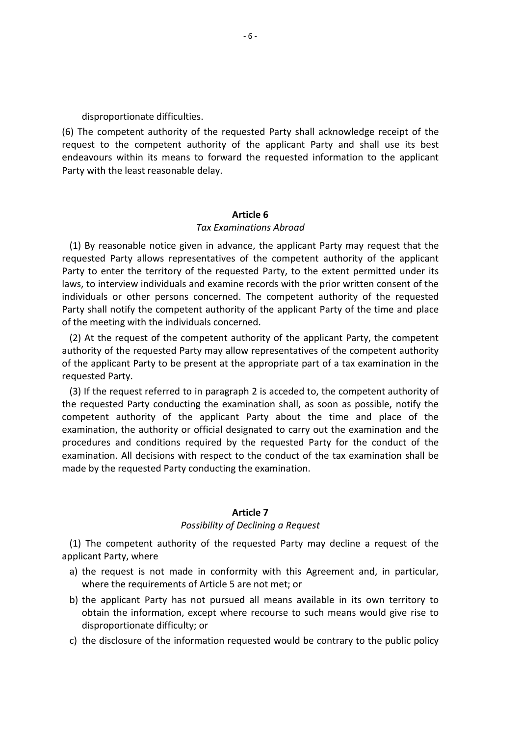disproportionate difficulties.

disproportionate difficulties.<br>The competent authority of the requested Party shall acknowledge receipt of the roportionate difficulties.<br>The competent authority of the requested Party shall acknowledge receipt of the<br>to the competent authority of the applicant Party and shall use its best prtionate difficulties.<br>
petent authority of the requested Party shall acknowledge receipt of the<br>
the competent authority of the applicant Party and shall use its best<br>
within its means to forward the requested informatio isproportionate difficulties.<br>
ie competent authority of the requent to the competent authority of<br>
interasonable delay.<br>
With the least reasonable delay. (6) The competent authority of the requested Party shall acknowledge receipt of the **Party shate**<br>
applicant<br>
requested<br> **6** request to the competent authority of the applicant Party and shall use its best rity of the applicant Party a<br>brward the requested informa<br><sup>1</sup>y.<br>**Article 6**<br>*Examinations Abroad*  $(1)$ By reasonable notice given in advance, the applicant Party may request that the<br>By reasonable notice given in advance, the applicant Party may request that the r arty with

Article 6<br>
Tax Examinations Abroad<br>
Sonable notice given in advance, the applicant Party may request that the<br>
Party allows representatives of the competent authority of the applicant Article 6<br>Tax Examinations Abroad<br>By reasonable notice given in advance, the applicant Party may request that the<br>sted Party, allows representatives of the competent authority of the applicant<br>to enter the territory of the Article 6<br>Tax Examinations Abroad<br>By reasonable notice given in advance, the applicant Party may request that the<br>sted Party allows representatives of the competent authority of the applicant<br>to enter the territory of the **Examinations Abroad**<br> **Sonable notice given in advance, the applicant Party may request that the**<br> **Party allows representatives of the competent authority of the applicant**<br>
ter the territory of the requested Party, to t Tax Examinations Abroad<br>By reasonable notice given in advance, the applicant Party may request that the<br>sted Party allows representatives of the competent authority of the applicant<br>to enter the territory of the requested (1) By reasonable notice given in advance, the applicant Party may request that the (1) By reasonable notice given in advance, the a<br>equested Party allows representatives of the co<br>arty to enter the territory of the requested Part<br>ws, to interview individuals and examine records<br>dividuals or other person ested Party allows representatives of the competent authority of the applicant<br>to enter the territory of the requested Party, to the extent permitted under its<br>to interview individuals and examine records with the prior wr Party to enter the territory of the requested Party, to the extent permitted under its enter the territory of the requested Party, to the extent permitted under its<br>terview individuals and examine records with the prior written consent of the<br>s or other persons concerned. The competent authority of the reque laws, to interview individuals and examine records with the prior written consent of the the applicant Party individuals and examine records with the prior written consent of the prividuals or other persons concerned. The competent authority of the requested they shall notify the competent authority of the app individuals or other persons concerned. The competent authority of the requested of the meeting with the individuals concerned.

dividuals or other<br>arty shall notify the<br>f the meeting with t<br>(2) At the request<br>uthority of the reque<br>f the applicant Party<br>cauested Party. If the request referred to in paragraph 2 is acceded to, the competent authority of the splicant party, the competent<br>At the request of the competent authority of the applicant Party, the competent<br>prity of the requested P requested party the individuals concerned.<br>
At the request of the competent authority of the applicant Party, the competent<br>
ority of the requested Party may allow representatives of the competent authority<br>
The applicant (2) At the request of the competent authority of the applicant Party, the competent request of the competent authority of the applicant Party, the competent<br>the requested Party may allow representatives of the competent authority<br>ant Party to be present at the appropriate part of a tax examination in the<br> authority of the requested Party may allow representatives of the competent authority of the applicant Party to be present at the appropriate part of a tax examination in the requested Party.

The requested Party may allow representatives of the competent authority<br>the Party to be present at the appropriate part of a tax examination in the<br>ty.<br>quest referred to in paragraph 2 is acceded to, the competent authori rant Party to be present at the appropriate part of a tax examination in the<br>equest referred to in paragraph 2 is acceded to, the competent authority of<br>ed Party conducting the examination shall, as soon as possible, notif ty.<br>
yuest referred to in paragraph 2 is acceded to, the competent authority of<br>
I Party conducting the examination shall, as soon as possible, notify the<br>
uthority of the applicant Party about the time and place of the<br>
t (3) If the request referred to in paragraph 2 is acceded to, th<br>the requested Party conducting the examination shall, as soc<br>competent authority of the applicant Party about the<br>examination, the authority or official desig examination, the authority or official designated to carry out the examination and the ed to carry<br>requested<br>conduct o<br>camination<br>**7** *Possibility*by the requested Party for<br> *c*t to the conduct of the tax<br> *ng* the examination.<br> **Article 7**<br> *of Declining a Request*  $\frac{1}{2}$ The competent authority of the requested Party conducting the examination.<br>
Article 7<br>
Possibility of Declining a Request<br>
The competent authority of the requested Party may decline a request of the  $\frac{1}{2}$ 

ne requested rarty controlled the post competent authority Party, where Article 7<br>
Possibility of Declining a Request<br>
The competent authority of the requested Party may decline a request of the<br>
the request is not made in conformity with this Agreement and, in particular, **Article 7**<br>Possibility of Declining a Request<br>ompetent authority of the requested Party may<br>arty, where<br>quest is not made in conformity with this Agree<br>the requirements of Article 5 are not met: or The competent applicant Party, where

- Possibility of Declining a Request<br>The competent authority of the requested Party may decline a request of the<br>icant Party, where<br>the request is not made in conformity with this Agreement and, in particular,<br>where the requ Tossisting of becoming a nequest<br>
inty, where<br>
the information, where<br>
the information conformity with this Agreement and, in particular,<br>
the requirements of Article 5 are not met; or<br>
plicant Party has not pursued all me
- authority of the r<br>ements of Article 5<br>ements of Article 5<br>rty has not pursunation, except whe<br>difficulty: or I cant Party, where<br>the request is not made in conformity with this Agreement and, in particular,<br>where the requirements of Article 5 are not met; or<br>the applicant Party has not pursued all means available in its own terri
-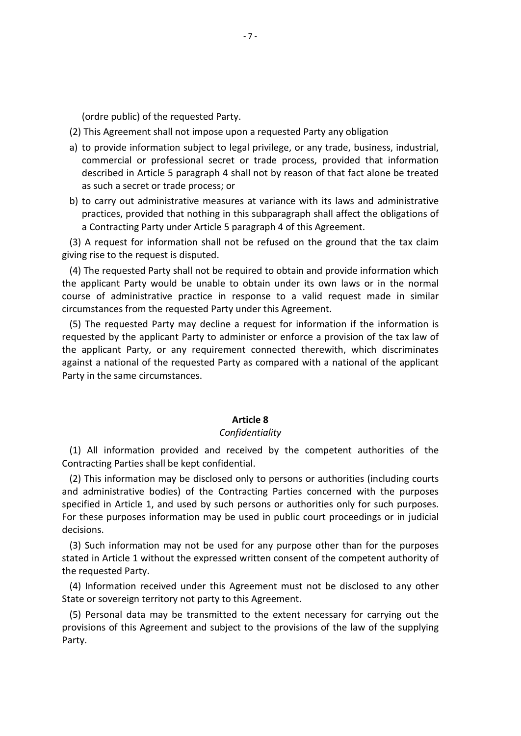Public) of the requested Party.<br>
Public of the requested Party.

- (ordre public) of the requested Party.<br>This Agreement shall not impose upon a requested Party any obligation (ordre public) of the requested Party.<br>This Agreement shall not impose upon a requested Party any obligation<br>to provide information subiect to legal privilege, or any trade, business, industrial, This Agre
- or the requested Party.<br>
Sorther professional secret or a requested Party any obligation<br>
formation subject to legal privilege, or any trade, business, industrial,<br>
or professional secret or trade process, provided that in in Article 5 paragraph 4 shall not impose upon a requested Party any obligation<br>information subject to legal privilege, or any trade, business, industrial,<br>in article 5 paragraph 4 shall not by reason of that fact alone be dre public) of the requested Party.<br>is Agreement shall not impose upon a reprovide information subject to legal premential or professional secret or trade process; or (ordre public) of the requested Party.<br>
This Agreement shall not impose upon a requested Party any obligation<br>
to provide information subject to legal privilege, or any trade, business, industrial,<br>
commercial or professio ement shall not impose upon a requested Party any obligation<br>
information subject to legal privilege, or any trade, business, industrial,<br>
al or professional secret or trade process, provided that information<br>
in Article 5 a) to provide information subject to legal privilege, or any trade, business, industrial, a) to provide information subject to legal privilege, or any trade, busines<br>commercial or professional secret or trade process, provided that<br>described in Article 5 paragraph 4 shall not by reason of that fact alon<br>as such described in Article 5 paragraph 4 shall not by reason of that fact alone be treated
- Commercial or professional secret or trade process, provided that information<br>described in Article 5 paragraph 4 shall not by reason of that fact alone be treated<br>as such a secret or trade process; or<br>o carry out administr described in Article 5 paragraph 4 shas such a secret or trade process; or<br>b) to carry out administrative measure<br>practices, provided that nothing in th<br>a Contracting Party under Article 5 p;<br>(3) A request for information as such a secret or trade process; or<br>to carry out administrative measures at variance with its laws and administrative<br>practices, provided that nothing in this subparagraph shall affect the obligations of<br>a Contracting Pa  $\mathbf{b}$ to carry out administrative measures at variance with its laws and administrative<br>practices, provided that nothing in this subparagraph shall affect the obligations of<br>a Contracting Party under Article 5 paragraph 4 of thi practices, provided that nothing in this subparagraph shall affect the obligations of a Contracting Party under Article 5 paragraph 4 of this Agreement.

giving rise to the request is disputed.

ctices, provided that nothing in this subparagraph shall affect the obligations of<br>ontracting Party under Article 5 paragraph 4 of this Agreement.<br>request for information shall not be refused on the ground that the tax cla a Contracting Party under Article 5 paragraph 4 of this Agreeme<br>
(3) A request for information shall not be refused on the groun<br>
ving rise to the request is disputed.<br>
(4) The requested Party shall not be required to obta A request for information shall not be refused on the ground that the tax claim<br>grise to the request is disputed.<br>The requested Party shall not be required to obtain and provide information which<br>pplicant Party would be un to the request is disputed.<br>
Equested Party shall not be required to obtain and provide information which<br>
shall party would be unable to obtain under its own laws or in the normal<br>
administrative practice in response to a (4) The requested Party shall not be required to obtain and provide information which<br>the applicant Party would be unable to obtain under its own laws or in the normal<br>course of administrative practice in response to a val the applicant Party would be unable to obtain under its own laws or in the normal course of administrative practice in response to a valid request made in similar

licant Party would be unable to obtain under its own laws or in the normal<br>of administrative practice in response to a valid request made in similar<br>tances from the requested Party under this Agreement.<br>e requested Party m e of administrative practice in<br>
Instances from the requested Pa<br>
The requested Party may declin<br>
sted by the applicant Party to applicant Party, or any require<br>
st a national of the requested P<br>
in the same circumstances. requested by the applicant Party to administer or enforce a provision of the tax law of r or enforc<br>nnected tł<br>pmpared w<br>**8** the applicant Party, or any requirement connected therewith, which discriminates ''"<br>م+ء All information provided and received by the competent authorities of the<br>All information provided and received by the competent authorities of the rarry in the

Partic Same encanstances.<br> **Article 8**<br>
Confidentiality<br>
(1) All information provided and received bontracting Parties shall be kept confidential. **This information provided and received by the competent authorities of the**<br>
This information may be disclosed only to persons or authorities (including courts **Article 8**<br>Confidentiality<br>All information provided and received by the competent authorities of the<br>racting Parties shall be kept confidential.<br>This information may be disclosed only to persons or authorities (including  $(1)$  All

in Article 8<br>
in Article 8<br>
(1) All information provided and received by the competent authorities of the<br>
Contracting Parties shall be kept confidential.<br>
(2) This information may be disclosed only to persons or authoriti Confidentiality<br>
1) All information provided and received by the competent authorities of the<br>
1) This information may be disclosed only to persons or authorities (including courts<br>
1) This information may be disclosed onl ontracting Parties shall be kept confidential.<br>
(2) This information may be disclosed only to persons or authorities (including courts<br>
and administrative bodies) of the Contracting Parties concerned with the purposes<br>
bec (2) This information may be disclosed only to persons or authorities (including courts<br>and administrative bodies) of the Contracting Parties concerned with the purposes<br>specified in Article 1, and used by such persons or a and administrative bodies) of the Contracting Parties concerned with the purposes nd administrative bodionologie<br>in Article 1, and particle 1, and particle 1, and particle 1 and<br>ecisions.<br>(3) Such information m<br>ated in Article 1 withou Fied in Article 1, and used by such persons or authorities only for such purposes.<br>Nese purposes information may be used in public court proceedings or in judicial<br>ons.<br>Such information may not be used for any purpose othe For these purposes information may be used in public court proceedings or in judicial

or these purposes information may be used in public cournecisions.<br>
(3) Such information may not be used for any purpose of<br>
ated in Article 1 without the expressed written consent of<br>
ie requested Party.<br>
(4) Information Such information may not be used for any purpose other than for the purposes<br>d in Article 1 without the expressed written consent of the competent authority of<br>equested Party.<br>Information received under this Agreement must (3) Such information may not be used for any purpose other than for the purposes information may not be used for any purpose other than for the purposes<br>rticle 1 without the expressed written consent of the competent authority of<br>ted Party.<br>mation received under this Agreement must not be disclosed to statec

Party.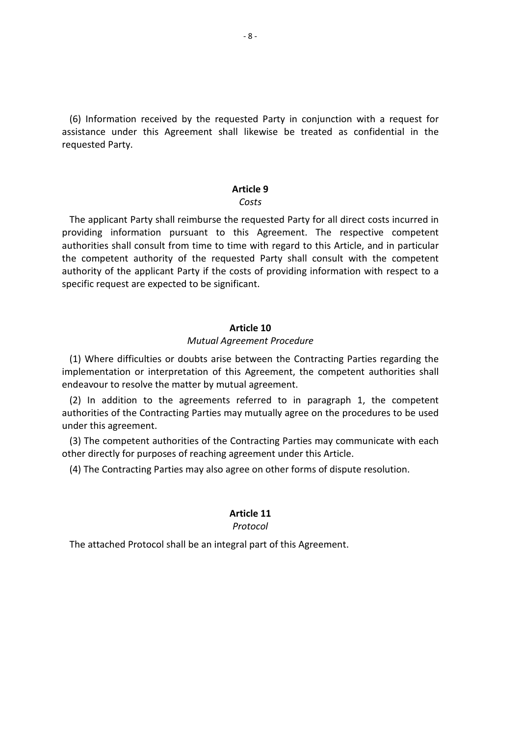-8-<br>Information received by the requested Party in conjunction with a request for nation received by the requested Party in conjunction with a request for<br>under this Agreement shall likewise be treated as confidential in the mation red<br>under th<br>Party. Party in comparty in comparts<br>vise be tr<br>**9** *Costs*noist<br>Saire applicant Party.<br>applicant Party shall reimburse the requested Party for all direct costs incurred in icquester

arty:<br> **information pursuant contingle Setting Pursuant Party shall reimburse the requested Party for all direct costs incurred in<br>
information pursuant to this Agreement. The respective competent Shall consult from time of the Costs**<br>Costs<br>Shall consult from time to this Agreement. The respective competent<br>Shall consult from time to time with regard to this Article, and in particular Article 9<br>Costs<br>e applicant Party shall reimburse the requested Party for all direct costs incurred in<br>iding information pursuant to this Agreement. The respective competent<br>orities shall consult from time to time with reg **Article 9**<br>Costs<br>licant Party shall reimburse the requested Party for all direct costs incurred in<br>information pursuant to this Agreement. The respective competent<br>s shall consult from time to time with regard to this Art Costs<br>
uplicant Party shall reimburse the requeste<br>
requested information pursuant to this Agree<br>
requested to be requested Party<br>
y of the applicant Party if the costs of pro<br>
request are expected to be significant. authorities shall consult from time to time with regard to this Article, and in particular th regard tc<br>Party shall<br>f providing<br>**10** the competent authority of the requested Party shall consult with the competent **quested Party shall consult v<br>
<b>e** costs of providing informati<br>
gnificant.<br> **Article 10**<br> *Agreement Procedure*  $\frac{1}{2}$ Where difficulties or doubts arise between the Contracting Parties regarding the<br>Where difficulties or doubts arise between the Contracting Parties regarding the specture request

orinterpretation of this Agreement.<br> **Article 10**<br> *Mutual Agreement Procedure*<br>
culties or doubts arise between the Contracting Parties regarding the<br>
or interpretation of this Agreement, the competent authorities shall Article 10<br>Mutual Agreement Procedure<br>(1) Where difficulties or doubts arise between the Contracting Parties regarding the<br>implementation or interpretation of this Agreement, the competent authorities shall<br>endeavour to re Article 10<br>
In addition to the agreement *Procedure*<br>
Mutual Agreement *Procedure*<br>
Mere difficulties or doubts arise between the Contracting Parties regarding the<br>
Mere metation or interpretation of this Agreement, the co Article 10<br>
Mutual Agreement Procedure<br>
edifficulties or doubts arise between the Contracting Parties regarding the<br>
ation or interpretation of this Agreement, the competent authorities shall<br>
dition to the agreements refe (1) Where difficulties or<br>nplementation or interprode<br>netayour to resolve the n<br>(2) In addition to the<br>uthorities of the Contract<br>nder this agreement. Where difficulties or doubts arise between the Contracting Parties regarding the<br>ementation or interpretation of this Agreement, the competent authorities shall<br>avour to resolve the matter by mutual agreement.<br>In addition implementation or interpretation of this Agreement, the competent authorities shall

matrian or interpretation of this Agreement, the competent and a avour to resolve the matter by mutual agreement.<br>
(2) In addition to the agreements referred to in paragraph 1, the untorities of the Contracting Parties may avour to resolve the matter by mutual agreement.<br>
In addition to the agreements referred to in paragraph 1, the compete<br>
prities of the Contracting Parties may mutually agree on the procedures to be use<br>
r this agreement.<br> **Article**

cting Parties<br>ent under t<br>11<br>11 *Protocol*

(4) The Contracting Parties may also agree on other forms of disponent.<br> **Article 11**<br> *Protocol*<br>
The attached Protocol shall be an integral part of this Agreement.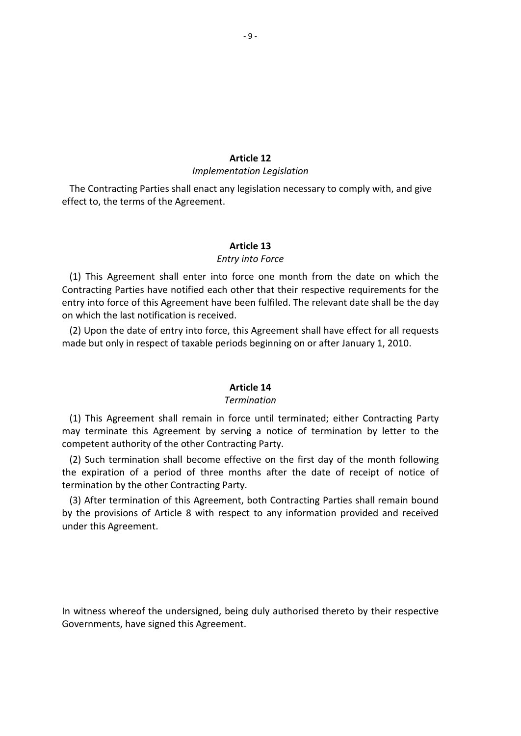## **12** Article<br>Atation

## *Legislation Entry*

Article 12<br> *Implementation Legislation*<br>
Contracting Parties shall enact any legislation necessary to comply with, and give **Arti**<br>*Implementa:*<br>Contracting Parties shall enact any le<br>to, the terms of the Agreement. **12**<br>*Legislation*<br>ation necess<br>**13** *inon Ecgistation*<br>egislation necessar<br>**iicle 13**<br>*into Force*  $(1)$ This Agreement shall enter into force one month from the date on which the Chect to, th

Particle 13<br>
Particle 13<br>
Parties have notified each other that their respective requirements for the<br>
Parties have notified each other that their respective requirements for the Article 13<br> *Entry into Force*<br>
This Agreement shall enter into force one month from the date on which the<br>
acting Parties have notified each other that their respective requirements for the<br>
into force of this Agreement h Article<br>
Entry into<br>
(1) This Agreement shall enter into force<br>
pontracting Parties have notified each other<br>
the last notification is received. Entry into Force<br>
This Agreement shall enter into force one month from the date on which the<br>
racting Parties have notified each other that their respective requirements for the<br>
into force of this Agreement have been fulf Entry into Force<br>
This Agreement shall enter into force one month from the date on which the<br>
acting Parties have notified each other that their respective requirements for the<br>
into force of this Agreement have been fulfi entry into force of this Agreement have been fulfiled. The relevant date shall be the day on which the last notification is received.

umied. The<br>greement sh<br>ginning on c<br>**14** ( ۲<br>ام م This Agreement shall remain in force until terminated: either Contracting Party<br>This Agreement shall remain in force until terminated: either Contracting Party may

termination<br>This Agreement shall remain in force until terminated; either Contracting Party<br>Terminate this Agreement by serving a notice of termination by letter to the **Article 14**<br> *Termination*<br>
(1) This Agreement shall remain in force until terminay terminate this Agreement by serving a notice of propertient authority of the other Contracting Party. **Such termination**<br>
Such terminate this Agreement by serving a notice of terminated; either Contracting Party<br>
terminate this Agreement by serving a notice of termination by letter to the<br>
Such termination shall become eff Framination<br>
This Agreement shall remain in force until terminated; either Contracting Party<br>
terminate this Agreement by serving a notice of termination by letter to the<br>
petent authority of the other Contracting Party.<br> Ferminational Contracts<br>
(1) This Agreement shall remain in force un-<br>
interpretent authority of the other Contracting Party.<br>
(2) Such termination shall become effective<br>
(2) Such termination shall become effective<br>
inter This Agreement shall remain in force until terminated; either Contracting Party<br>terminate this Agreement by serving a notice of termination by letter to the<br>betent authority of the other Contracting Party.<br>Such termination  $m_{\tilde{6}}$ competent authority of the other Contracting Party.

It is a Article 8 with respect to any information by letter to the protent authority of the other Contracting Party.<br>
The such termination shall become effective on the first day of the month following<br>
expiration of a per (2) Such termination shall become effective on the first day of the month following<br>the expiration of a period of three months after the date of receipt of notice of<br>termination by the other Contracting Party.<br>(3) After te

under this Agreement.

der this Agreement.<br>
Witness whereof the undersigned, being duly authorised thereto by their respective In witness whereof the undersigned, being duly authorised thereto by their respective Governments, have signed this Agreement.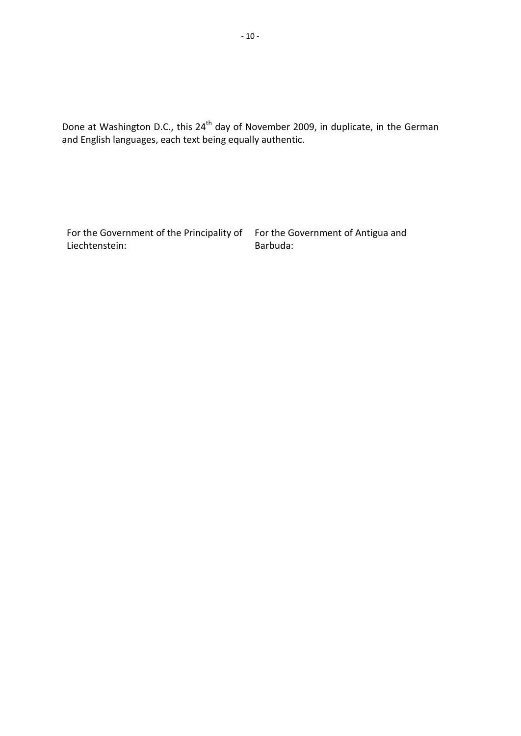at Washington D.C., this 24<sup>th</sup> day of November 2009, in duplicate, in the German daye at Washington D.C., this 24<sup>th</sup> day of November 2009, in<br>English languages, each text being equally authentic.

For the Government of the Principality of For the Government of Antigua and Liechtenstein:

 the Government of Antigua and Barbuda: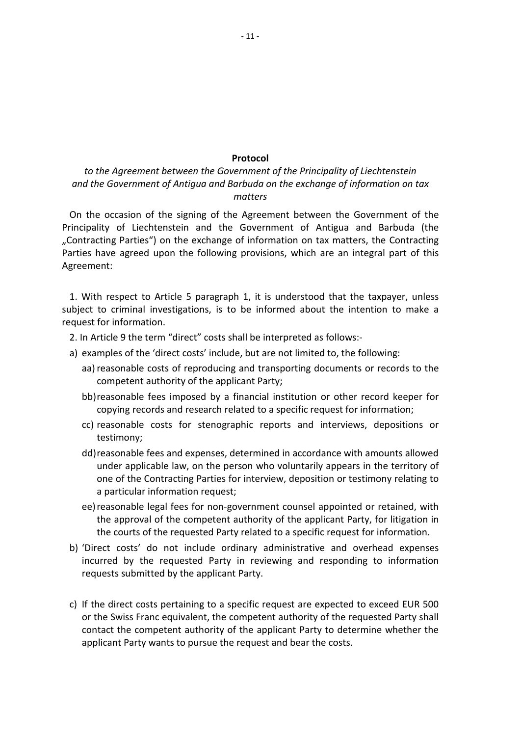### *the Agreement between the Government of the Principality ofLiechtenstein the Government of Antigua and Barbuda on the exchange of information on tax* **Protocol**<br>to the Agreement between the Government of the Principality of Liechtenstein<br>the Government of Antigua and Barbuda on the exchange of information on tax<br>the occasion of the signing of the Agreement between the G **Protocol**<br> **Solution:** The Government of the Principality of Liechtenstein<br>
poternment of Antigua and Barbuda on the exchange of information on tax<br>
matters<br>
casion of the signing of the Agreement between the Government o to the Agreement between the Government of the Principality of Liechtenstein and the Government of Antiqua and Barbuda on the exchange of information on tax

**Protocol**<br> *Protocol*<br> *Protocol*<br> *Protocol*<br> *Protocol*<br> *Protocol*<br> *Protocol*<br> *Protocol on the exchange of information on tax<br>
<i>matters*<br>
Agreement between the Government of the<br> *Parties*<br> *Parties*<br> *Parties*<br> *Par* the Agreement between the Government of the Principality of Liechtenstein<br>he Government of Antigua and Barbuda on the exchange of information on tax<br>matters<br>e occasion of the signing of the Agreement between the Government  $\overline{O}$ Parties have agreed upon the following provisions, which are an integral part of this Agreement: Principality of Liechtenstein and the Government of Antigua and Barbuda (the lity of Liechtenstein and the Government of Antigua and Barbuda (the<br>ting Parties") on the exchange of information on tax matters, the Contracting<br>nave agreed upon the following provisions, which are an integral part of th "Contracting Parties") on the exchange of information on tax matters, the Contracting Contracting Parties") on the<br>arties have agreed upon the<br>greement:<br>1. With respect to Article<br>ubject to criminal investiga<br>cauest for information.

In Arties have agreed upon the following provisions, which are an integral<br>In Article 3 the term in Article 5 paragraph 1, it is understood that the taxp<br>In Article 1 to criminal investigations, is to be informed about the With respect to Article 5 paragraph 1, it is understood that the taxpayer, unnect to criminal investigations, is to be informed about the intention to malest for information.<br>
n Article 9 the term "direct" costs shall be i o Article 5 paragraph 1, it is understood that the taxpayer, unless<br>investigations, is to be informed about the intention to make a<br>tion.<br>cerm "direct" costs shall be interpreted as follows:-<br>e 'direct costs' include, but 1. With respect to Article 5 paragraph 1, it is understood that the taxpayer, unless o Article 5 paragraph 1, it is unders<br>investigations, is to be informed a<br>tion.<br>term "direct" costs shall be interprete<br>e 'direct costs' include, but are not lir<br>costs of reproducing and transportir<br>authority of the applic bot to criminal<br>bot factofactor request for information.

- 2. In Article 9 the term "direct" costs shall be interpreted as follows:-
- a) examples of the 'direct costs' include, but are not limited to, the following:
- fivestigations, is to be informed about the intention to make a<br>fion.<br>ferm "direct" costs shall be interpreted as follows:-<br>e'direct costs' include, but are not limited to, the following:<br>costs of reproducing and transport records and records and be interpreted as follows:-<br>Fithe 'direct costs' include, but are not limited to, the following:<br>ble costs of reproducing and transporting documents or records to the<br>entiauthority of the applicant aa) reasonable competent authority of the applicant Party;
- ricle 9 the term anect costs shan be interpreted as follows.<sup>2</sup><br>mples of the 'direct costs' include, but are not limited to, the following:<br>reasonable costs of reproducing and transporting documents or records to the<br>compe costs of reproducing and transporting documents or records to the<br>authority of the applicant Party;<br>fees imposed by a financial institution or other record keeper for<br>ords and research related to a specific request for inf The fees imposed by a financial institution or other record keeper for<br>g records and research related to a specific request for information;<br>able costs for stenographic reports and interviews, depositions or<br>ony;<br>able fees bb) reasonable fees imposed by a financial institution or other record keeper for copying records and research related to a specific request for information;
	- cc) reasonable costs for stenographic reports and interviews, depositions or testimony;
- onable fees imposed by a financial institution or other record keeper for<br>
ing records and research related to a specific request for information;<br>
onable costs for stenographic reports and interviews, depositions or<br>
mony ppying records and research related<br>
reasonable costs for stenographic<br>
stimony;<br>
reasonable fees and expenses, detern<br>
nder applicable law, on the person<br>
ne of the Contracting Parties for internation request: costs for stenographic reports and interviews, depositions or<br>fees and expenses, determined in accordance with amounts allowed<br>cable law, on the person who voluntarily appears in the territory of<br>Contracting Parties for in imony;<br>
ionable fees and expenses, determined in accordance with amounts allowed<br>
er applicable law, on the person who voluntarily appears in the territory of<br>
of the Contracting Parties for interview, deposition or testim dd) reasonable fees and expenses, determined in accordance with amounts allowed dd) reasonable fees and expenses, determined in accordance with amounts allowed<br>under applicable law, on the person who voluntarily appears in the territory of<br>one of the Contracting Parties for interview, deposition or te incurred cone a particular information request;
	- under applicable law, on the person who voluntarily appears in the territory of<br>one of the Contracting Parties for interview, deposition or testimony relating to<br>a particular information request;<br>ee) reasonable legal fees The Contracting Parties for interview, deposition or testimony relating to<br>
	icular information request;<br>
	iable legal fees for non-government counsel appointed or retained, with<br>
	proval of the competent authority of the app
- ee) reasonable legal fees for non-government counsel appointed or retained, with<br>the approval of the competent authority of the applicant Party, for litigation in<br>the courts of the requested Party related to a specific req If the approval of the competent authority of the applicant Party, for litigation in<br>
the courts of the requested Party related to a specific request for information.<br>
'Direct costs' do not include ordinary administrative the courts of the requested Party related to a specific request for information.<br>
rect costs' do not include ordinary administrative and overhead expenses<br>
urred by the requested Party in reviewing and responding to inform 'Direct costs' do not include ordinary administrative and overhead expenses<br>by the requested Party in reviewing and responding to information<br>is submitted by the applicant Party.<br>rect costs pertaining to a specific request are exp incurred by the requested Party in reviewing and responding to information
- c) If the direct costs pertaining to a specific request are expected to exceed EUR 500 or the Swiss Franc equivalent, the competent authority of the requested Party shall contact the competent authority of the applicant Pa